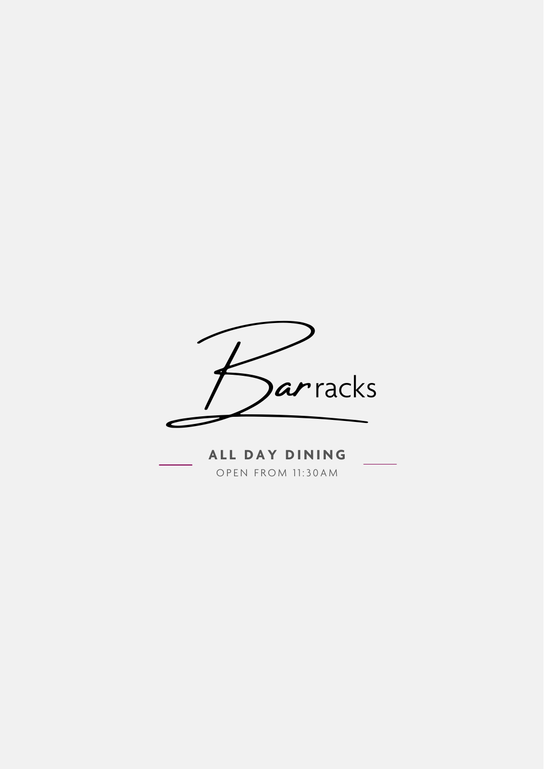

ALL DAY DINING OPEN FROM 11:30AM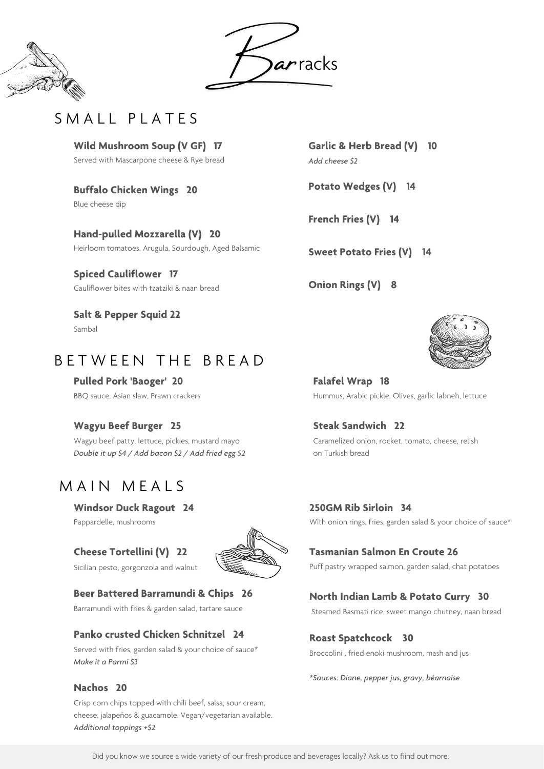**Garlic & Herb Bread (V) 10** *Add cheese \$2*

**Potato Wedges (V) 14**

**French Fries (V) 14**

**Sweet Potato Fries (V) 14**

**Onion Rings (V) 8**



**Windsor Duck Ragout 24**

Pappardelle, mushrooms

### **Cheese Tortellini (V) 22**

Sicilian pesto, gorgonzola and walnut



#### **Beer Battered Barramundi & Chips 26**

Barramundi with fries & garden salad, tartare sauce

#### **Panko crusted Chicken Schnitzel 24**

Served with fries, garden salad & your choice of sauce\* *Make it a Parmi \$3*

#### **Nachos 20**

Crisp corn chips topped with chili beef, salsa, sour cream, cheese, jalapeños & guacamole. Vegan/vegetarian available. *Additional toppings +\$2*

### **250GM Rib Sirloin 34**

With onion rings, fries, garden salad & your choice of sauce\*

### **Tasmanian Salmon En Croute 26**

Puff pastry wrapped salmon, garden salad, chat potatoes

#### **North Indian Lamb & Potato Curry 30**

Steamed Basmati rice, sweet mango chutney, naan bread

### **Roast Spatchcock 30**

Broccolini , fried enoki mushroom, mash and jus

*\*Sauces: Diane, pepper jus, gravy, béarnaise*

**Falafel Wrap 18** Hummus, Arabic pickle, Olives, garlic labneh, lettuce

**Steak Sandwich 22**

Caramelized onion, rocket, tomato, cheese, relish on Turkish bread

| Wild Mushroom Soup (V GF) 17              |  |  |
|-------------------------------------------|--|--|
| Served with Mascarpone cheese & Rye bread |  |  |

**Buffalo Chicken Wings 20** Blue cheese dip

**Hand-pulled Mozzarella (V) 20** Heirloom tomatoes, Arugula, Sourdough, Aged Balsamic

**Spiced Cauliflower 17** Cauliflower bites with tzatziki & naan bread

**Salt & Pepper Squid 22** Sambal

# B E T W E E N T H E B R E A D

**Pulled Pork 'Baoger' 20** BBQ sauce, Asian slaw, Prawn crackers

### **Wagyu Beef Burger 25**

Wagyu beef patty, lettuce, pickles, mustard mayo *Double it up \$4 / Add bacon \$2 / Add fried egg \$2*

# MAIN MEALS





# SMALL PLATES

Did you know we source a wide variety of our fresh produce and beverages locally? Ask us to fiind out more.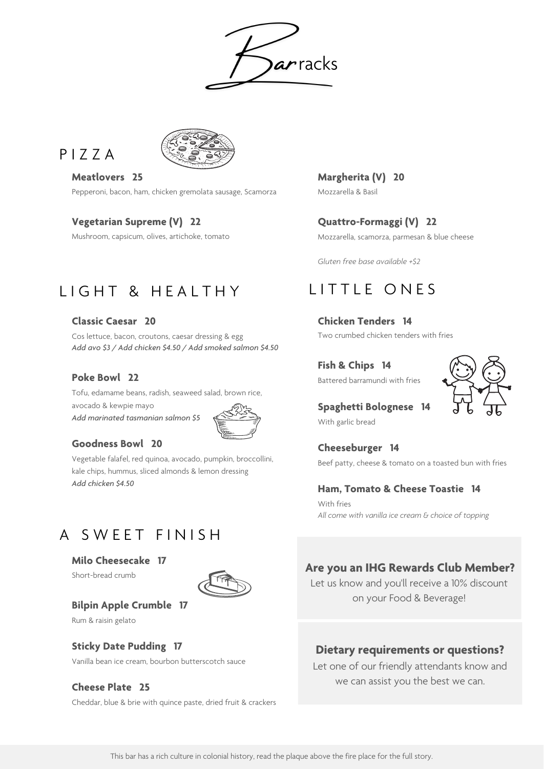#### **Classic Caesar 20**

Cos lettuce, bacon, croutons, caesar dressing & egg *Add avo \$3 / Add chicken \$4.50 / Add smoked salmon \$4.50*

#### **Poke Bowl 22**

Tofu, edamame beans, radish, seaweed salad, brown rice, avocado & kewpie mayo *Add marinated tasmanian salmon \$5*



#### **Goodness Bowl 20**

Vegetable falafel, red quinoa, avocado, pumpkin, broccollini, kale chips, hummus, sliced almonds & lemon dressing *Add chicken \$4.50*

# A SWEET FINISH

**Milo Cheesecake 17** Short-bread crumb



#### **Bilpin Apple Crumble 17**

Rum & raisin gelato

#### **Sticky Date Pudding 17**

Vanilla bean ice cream, bourbon butterscotch sauce

#### **Cheese Plate 25**

Cheddar, blue & brie with quince paste, dried fruit & crackers

# **Chicken Tenders 14**

Two crumbed chicken tenders with fries

#### **Fish & Chips 14**

Battered barramundi with fries



**Spaghetti Bolognese 14**

With garlic bread

**Cheeseburger 14**

Beef patty, cheese & tomato on a toasted bun with fries

### **Ham, Tomato & Cheese Toastie 14**

**Margherita (V) 20** Mozzarella & Basil

## **Quattro-Formaggi (V) 22**

Mozzarella, scamorza, parmesan & blue cheese

*Gluten free base available +\$2*

arracks





With fries *All come with vanilla ice cream & choice of topping*

**Meatlovers 25** Pepperoni, bacon, ham, chicken gremolata sausage, Scamorza

### **Vegetarian Supreme (V) 22**

Mushroom, capsicum, olives, artichoke, tomato

# LIGHT & HEALTHY LITTLE ONES

### **Are you an IHG Rewards Club Member?**



Let us know and you'll receive a 10% discount on your Food & Beverage!

### **Dietary requirements or questions?** Let one of our friendly attendants know and we can assist you the best we can.

This bar has a rich culture in colonial history, read the plaque above the fire place for the full story.